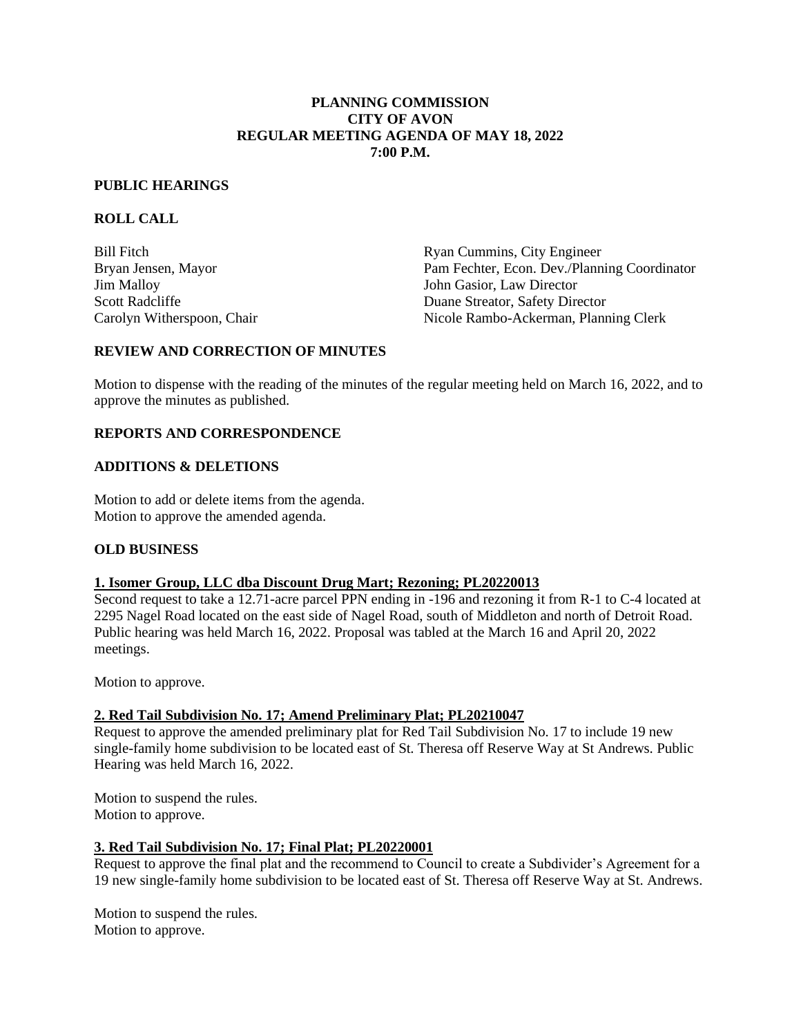#### **PLANNING COMMISSION CITY OF AVON REGULAR MEETING AGENDA OF MAY 18, 2022 7:00 P.M.**

#### **PUBLIC HEARINGS**

## **ROLL CALL**

Jim Malloy John Gasior, Law Director

Bill Fitch Ryan Cummins, City Engineer Bryan Jensen, Mayor Pam Fechter, Econ. Dev./Planning Coordinator Scott Radcliffe Duane Streator, Safety Director Carolyn Witherspoon, Chair Nicole Rambo-Ackerman, Planning Clerk

## **REVIEW AND CORRECTION OF MINUTES**

Motion to dispense with the reading of the minutes of the regular meeting held on March 16, 2022, and to approve the minutes as published.

#### **REPORTS AND CORRESPONDENCE**

#### **ADDITIONS & DELETIONS**

Motion to add or delete items from the agenda. Motion to approve the amended agenda.

## **OLD BUSINESS**

## **1. Isomer Group, LLC dba Discount Drug Mart; Rezoning; PL20220013**

Second request to take a 12.71-acre parcel PPN ending in -196 and rezoning it from R-1 to C-4 located at 2295 Nagel Road located on the east side of Nagel Road, south of Middleton and north of Detroit Road. Public hearing was held March 16, 2022. Proposal was tabled at the March 16 and April 20, 2022 meetings.

Motion to approve.

#### **2. Red Tail Subdivision No. 17; Amend Preliminary Plat; PL20210047**

 Request to approve the amended preliminary plat for Red Tail Subdivision No. 17 to include 19 new single-family home subdivision to be located east of St. Theresa off Reserve Way at St Andrews. Public Hearing was held March 16, 2022.

 Motion to suspend the rules. Motion to approve.

## **3. Red Tail Subdivision No. 17; Final Plat; PL20220001**

Request to approve the final plat and the recommend to Council to create a Subdivider's Agreement for a 19 new single-family home subdivision to be located east of St. Theresa off Reserve Way at St. Andrews.

Motion to suspend the rules. Motion to approve.